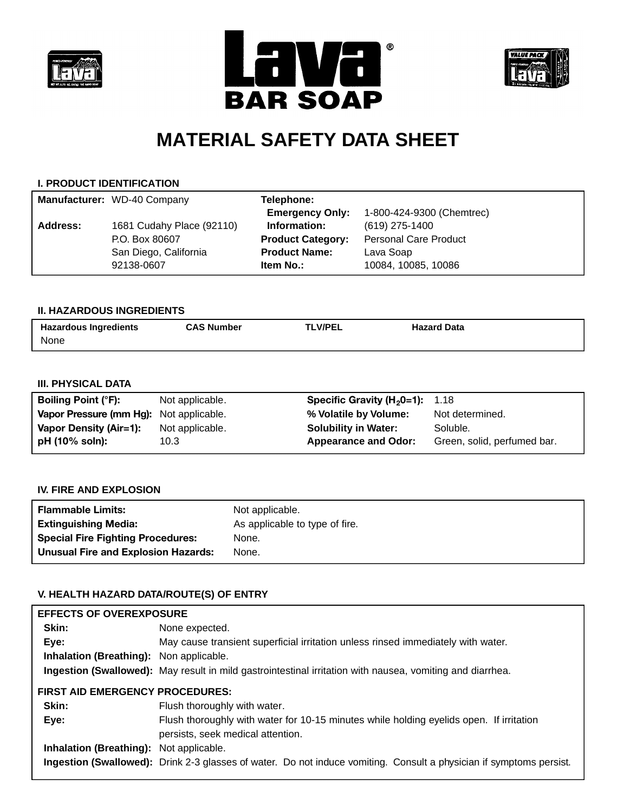





# **MATERIAL SAFETY DATA SHEET**

## **I. PRODUCT IDENTIFICATION**

|          | Manufacturer: WD-40 Company | Telephone:               |                              |
|----------|-----------------------------|--------------------------|------------------------------|
|          |                             | <b>Emergency Only:</b>   | 1-800-424-9300 (Chemtrec)    |
| Address: | 1681 Cudahy Place (92110)   | Information:             | (619) 275-1400               |
|          | P.O. Box 80607              | <b>Product Category:</b> | <b>Personal Care Product</b> |
|          | San Diego, California       | <b>Product Name:</b>     | Lava Soap                    |
|          | 92138-0607                  | Item No.:                | 10084, 10085, 10086          |

### **II. HAZARDOUS INGREDIENTS**

| <b>Hazardous Ingredients</b> | <b>CAS Number</b> | <b>TLV/PEL</b> | <b>Hazard Data</b> |
|------------------------------|-------------------|----------------|--------------------|
| None                         |                   |                |                    |

# **III. PHYSICAL DATA**

| <b>Boiling Point (°F):</b>              | Not applicable. | <b>Specific Gravity (H<sub>2</sub>0=1):</b> 1.18 |                             |
|-----------------------------------------|-----------------|--------------------------------------------------|-----------------------------|
| Vapor Pressure (mm Hg): Not applicable. |                 | % Volatile by Volume:                            | Not determined.             |
| Vapor Density (Air=1):                  | Not applicable. | <b>Solubility in Water:</b>                      | Soluble.                    |
| pH (10% soln):                          | 10.3            | <b>Appearance and Odor:</b>                      | Green, solid, perfumed bar. |
|                                         |                 |                                                  |                             |

## **IV. FIRE AND EXPLOSION**

| <b>Flammable Limits:</b>                   | Not applicable.                |
|--------------------------------------------|--------------------------------|
| <b>Extinguishing Media:</b>                | As applicable to type of fire. |
| <b>Special Fire Fighting Procedures:</b>   | None.                          |
| <b>Unusual Fire and Explosion Hazards:</b> | None.                          |

## **V. HEALTH HAZARD DATA/ROUTE(S) OF ENTRY**

| <b>EFFECTS OF OVEREXPOSURE</b>                 |                                                                                                                              |
|------------------------------------------------|------------------------------------------------------------------------------------------------------------------------------|
| Skin:                                          | None expected.                                                                                                               |
| Eye:                                           | May cause transient superficial irritation unless rinsed immediately with water.                                             |
| <b>Inhalation (Breathing):</b> Non applicable. |                                                                                                                              |
|                                                | Ingestion (Swallowed): May result in mild gastrointestinal irritation with nausea, vomiting and diarrhea.                    |
| <b>FIRST AID EMERGENCY PROCEDURES:</b>         |                                                                                                                              |
| Skin:                                          | Flush thoroughly with water.                                                                                                 |
| Eye:                                           | Flush thoroughly with water for 10-15 minutes while holding eyelids open. If irritation<br>persists, seek medical attention. |
| <b>Inhalation (Breathing):</b> Not applicable. |                                                                                                                              |
|                                                | Ingestion (Swallowed): Drink 2-3 glasses of water. Do not induce vomiting. Consult a physician if symptoms persist.          |